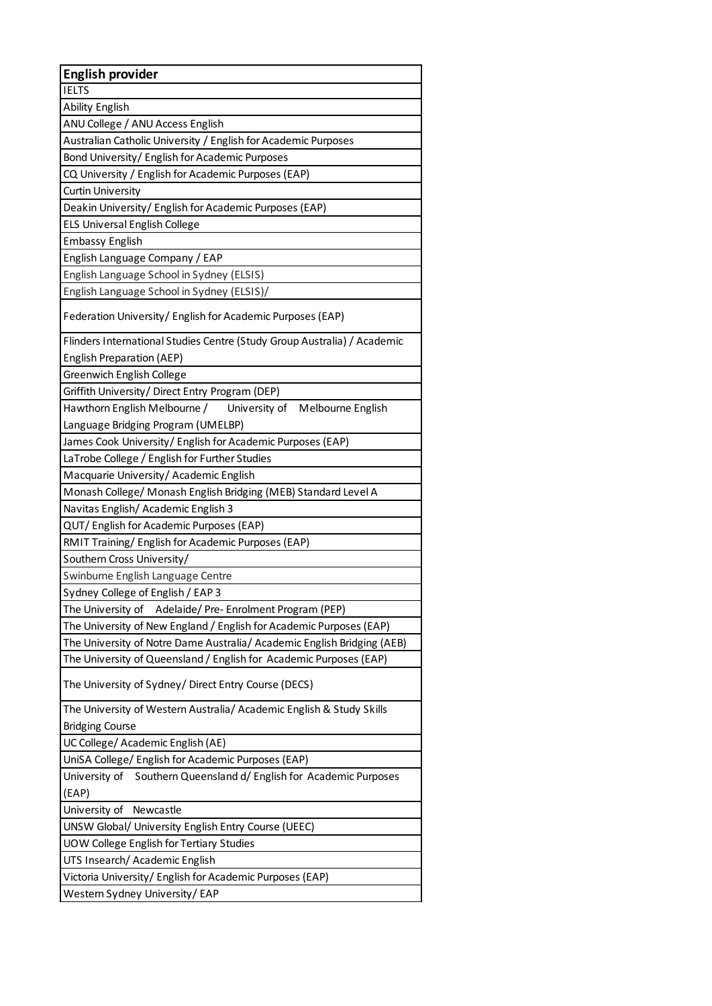| <b>English provider</b>                                                  |
|--------------------------------------------------------------------------|
| <b>IELTS</b>                                                             |
| <b>Ability English</b>                                                   |
| ANU College / ANU Access English                                         |
| Australian Catholic University / English for Academic Purposes           |
| Bond University/ English for Academic Purposes                           |
| CQ University / English for Academic Purposes (EAP)                      |
| <b>Curtin University</b>                                                 |
| Deakin University/ English for Academic Purposes (EAP)                   |
| <b>ELS Universal English College</b>                                     |
| <b>Embassy English</b>                                                   |
| English Language Company / EAP                                           |
| English Language School in Sydney (ELSIS)                                |
| English Language School in Sydney (ELSIS)/                               |
| Federation University/ English for Academic Purposes (EAP)               |
| Flinders International Studies Centre (Study Group Australia) / Academic |
| <b>English Preparation (AEP)</b>                                         |
| Greenwich English College                                                |
| Griffith University/ Direct Entry Program (DEP)                          |
| Hawthorn English Melbourne /<br>University of<br>Melbourne English       |
| Language Bridging Program (UMELBP)                                       |
| James Cook University/ English for Academic Purposes (EAP)               |
| LaTrobe College / English for Further Studies                            |
| Macquarie University/ Academic English                                   |
| Monash College/ Monash English Bridging (MEB) Standard Level A           |
| Navitas English/ Academic English 3                                      |
| QUT/ English for Academic Purposes (EAP)                                 |
| RMIT Training/ English for Academic Purposes (EAP)                       |
| Southern Cross University/                                               |
| Swinburne English Language Centre                                        |
| Sydney College of English / EAP 3                                        |
| The University of Adelaide/Pre-Enrolment Program (PEP)                   |
| The University of New England / English for Academic Purposes (EAP)      |
| The University of Notre Dame Australia/ Academic English Bridging (AEB)  |
| The University of Queensland / English for Academic Purposes (EAP)       |
| The University of Sydney/ Direct Entry Course (DECS)                     |
| The University of Western Australia/ Academic English & Study Skills     |
| <b>Bridging Course</b>                                                   |
| UC College/ Academic English (AE)                                        |
| UniSA College/ English for Academic Purposes (EAP)                       |
| Southern Queensland d/ English for Academic Purposes<br>University of    |
| (EAP)                                                                    |
| Newcastle<br>University of                                               |
| UNSW Global/ University English Entry Course (UEEC)                      |
| UOW College English for Tertiary Studies                                 |
| UTS Insearch/ Academic English                                           |
| Victoria University/English for Academic Purposes (EAP)                  |
| Western Sydney University/EAP                                            |
|                                                                          |